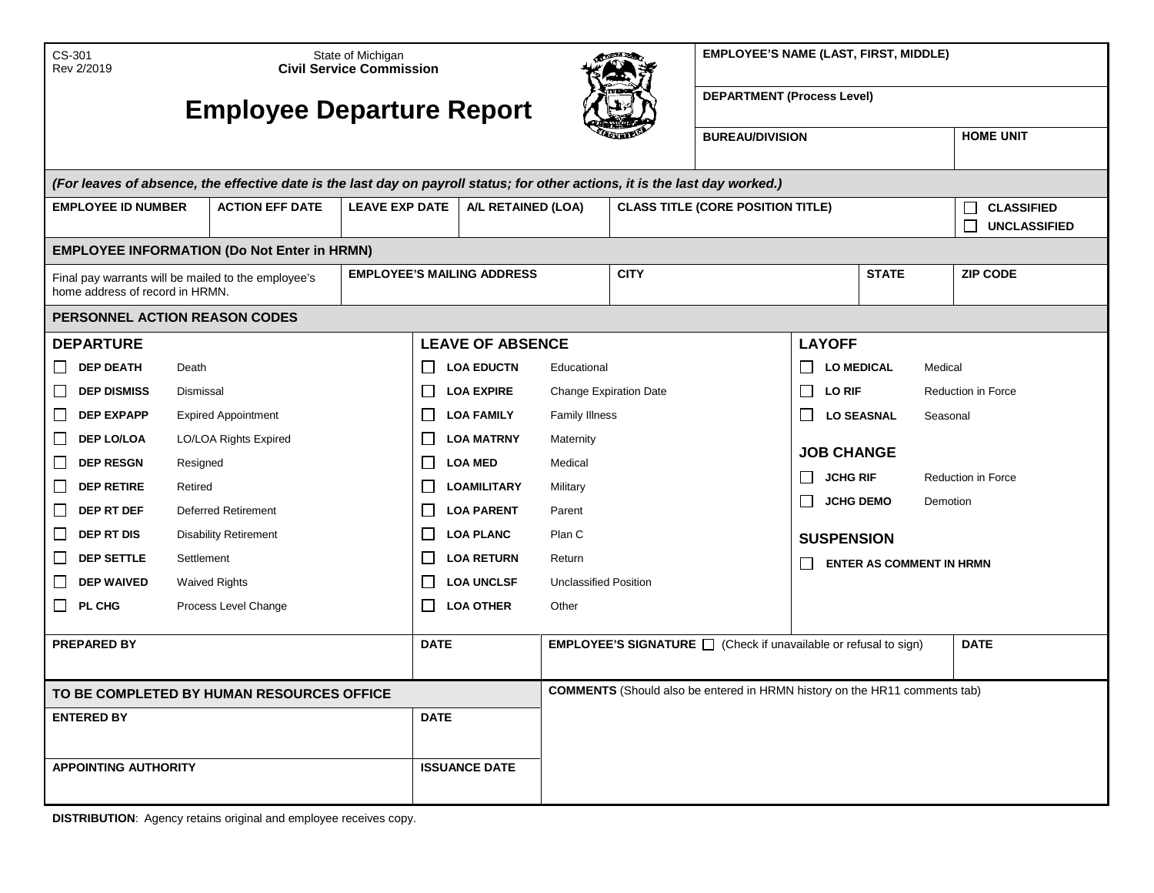| <b>EMPLOYEE'S NAME (LAST, FIRST, MIDDLE)</b> |  |  |  |  |
|----------------------------------------------|--|--|--|--|
|----------------------------------------------|--|--|--|--|

| CS-301<br>Rev 2/2019                                                                                                         | State of Michigan<br><b>Civil Service Commission</b> |                                             |              |                         | <b>CONTRACTOR</b>                                                                 |             | <b>EMPLOYEE'S NAME (LAST, FIRST, MIDDLE)</b>                                 |                   |                                               |                    |  |
|------------------------------------------------------------------------------------------------------------------------------|------------------------------------------------------|---------------------------------------------|--------------|-------------------------|-----------------------------------------------------------------------------------|-------------|------------------------------------------------------------------------------|-------------------|-----------------------------------------------|--------------------|--|
| <b>Employee Departure Report</b>                                                                                             |                                                      |                                             |              |                         |                                                                                   |             | <b>DEPARTMENT (Process Level)</b>                                            |                   |                                               |                    |  |
|                                                                                                                              |                                                      |                                             |              |                         |                                                                                   |             | <b>BUREAU/DIVISION</b>                                                       |                   |                                               | <b>HOME UNIT</b>   |  |
| (For leaves of absence, the effective date is the last day on payroll status; for other actions, it is the last day worked.) |                                                      |                                             |              |                         |                                                                                   |             |                                                                              |                   |                                               |                    |  |
| <b>EMPLOYEE ID NUMBER</b>                                                                                                    | <b>ACTION EFF DATE</b>                               | <b>LEAVE EXP DATE</b><br>A/L RETAINED (LOA) |              |                         | <b>CLASS TITLE (CORE POSITION TITLE)</b>                                          |             |                                                                              |                   | <b>CLASSIFIED</b><br>Г<br><b>UNCLASSIFIED</b> |                    |  |
| <b>EMPLOYEE INFORMATION (Do Not Enter in HRMN)</b>                                                                           |                                                      |                                             |              |                         |                                                                                   |             |                                                                              |                   |                                               |                    |  |
| Final pay warrants will be mailed to the employee's<br>home address of record in HRMN.                                       |                                                      | <b>EMPLOYEE'S MAILING ADDRESS</b>           |              |                         |                                                                                   | <b>CITY</b> |                                                                              |                   | <b>STATE</b>                                  | <b>ZIP CODE</b>    |  |
| PERSONNEL ACTION REASON CODES                                                                                                |                                                      |                                             |              |                         |                                                                                   |             |                                                                              |                   |                                               |                    |  |
| <b>DEPARTURE</b>                                                                                                             |                                                      |                                             |              | <b>LEAVE OF ABSENCE</b> |                                                                                   |             |                                                                              | <b>LAYOFF</b>     |                                               |                    |  |
| <b>DEP DEATH</b><br>Death<br>LI                                                                                              |                                                      |                                             | $\Box$       | <b>LOA EDUCTN</b>       | Educational                                                                       |             |                                                                              | <b>LO MEDICAL</b> | Medical                                       |                    |  |
| <b>DEP DISMISS</b><br>ப<br>Dismissal                                                                                         |                                                      |                                             | $\Box$       | <b>LOA EXPIRE</b>       | <b>Change Expiration Date</b>                                                     |             |                                                                              | LO RIF            |                                               | Reduction in Force |  |
| <b>DEP EXPAPP</b><br>$\Box$                                                                                                  | <b>Expired Appointment</b>                           |                                             | $\Box$       | <b>LOA FAMILY</b>       | <b>Family Illness</b>                                                             |             |                                                                              | $\perp$           | <b>LO SEASNAL</b><br>Seasonal                 |                    |  |
| <b>DEP LO/LOA</b><br>$\Box$                                                                                                  | LO/LOA Rights Expired                                |                                             | П            | <b>LOA MATRNY</b>       | Maternity                                                                         |             |                                                                              | <b>JOB CHANGE</b> |                                               |                    |  |
| <b>DEP RESGN</b><br>ப<br>Resigned                                                                                            |                                                      | <b>LOA MED</b><br>$\Box$                    |              |                         | Medical                                                                           |             | <b>JCHG RIF</b><br>$\Box$                                                    |                   | Reduction in Force                            |                    |  |
| $\Box$<br><b>DEP RETIRE</b><br>Retired                                                                                       |                                                      |                                             | $\mathsf{L}$ | <b>LOAMILITARY</b>      | Military                                                                          |             | $\Box$<br><b>JCHG DEMO</b><br>Demotion                                       |                   |                                               |                    |  |
| $\Box$<br>DEP RT DEF                                                                                                         | <b>Deferred Retirement</b>                           |                                             | $\mathsf{L}$ | <b>LOA PARENT</b>       | Parent<br>Plan C                                                                  |             |                                                                              |                   |                                               |                    |  |
| $\Box$<br><b>DEP RT DIS</b>                                                                                                  | <b>Disability Retirement</b>                         |                                             | $\perp$      | <b>LOA PLANC</b>        |                                                                                   |             |                                                                              |                   | <b>SUSPENSION</b>                             |                    |  |
| <b>DEP SETTLE</b><br>$\Box$<br>Settlement                                                                                    |                                                      |                                             | $\Box$       | <b>LOA RETURN</b>       | Return                                                                            |             |                                                                              |                   | <b>ENTER AS COMMENT IN HRMN</b>               |                    |  |
| <b>DEP WAIVED</b><br>$\Box$                                                                                                  | <b>Waived Rights</b>                                 |                                             | $\mathsf{L}$ | <b>LOA UNCLSF</b>       | <b>Unclassified Position</b>                                                      |             |                                                                              |                   |                                               |                    |  |
| PL CHG<br>$\Box$                                                                                                             | Process Level Change                                 |                                             | $\perp$      | <b>LOA OTHER</b>        | Other                                                                             |             |                                                                              |                   |                                               |                    |  |
| <b>PREPARED BY</b>                                                                                                           |                                                      |                                             | <b>DATE</b>  |                         |                                                                                   |             | <b>EMPLOYEE'S SIGNATURE</b> $\Box$ (Check if unavailable or refusal to sign) |                   |                                               | <b>DATE</b>        |  |
| TO BE COMPLETED BY HUMAN RESOURCES OFFICE                                                                                    |                                                      |                                             |              |                         | <b>COMMENTS</b> (Should also be entered in HRMN history on the HR11 comments tab) |             |                                                                              |                   |                                               |                    |  |
| <b>ENTERED BY</b><br><b>DATE</b>                                                                                             |                                                      |                                             |              |                         |                                                                                   |             |                                                                              |                   |                                               |                    |  |
|                                                                                                                              |                                                      |                                             |              |                         |                                                                                   |             |                                                                              |                   |                                               |                    |  |
| <b>APPOINTING AUTHORITY</b>                                                                                                  |                                                      |                                             |              | <b>ISSUANCE DATE</b>    |                                                                                   |             |                                                                              |                   |                                               |                    |  |

**DISTRIBUTION**: Agency retains original and employee receives copy.